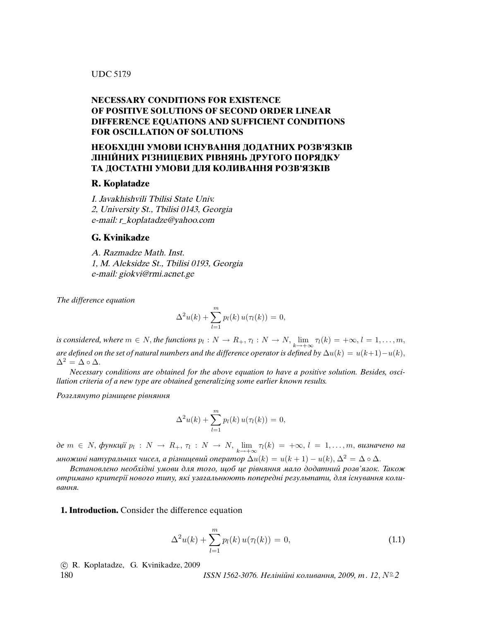## UDC 517.9

# **NECESSARY CONDITIONS FOR EXISTENCE OF POSITIVE SOLUTIONS OF SECOND ORDER LINEAR DIFFERENCE EQUATIONS AND SUFFICIENT CONDITIONS FOR OSCILLATION OF SOLUTIONS**

# **НЕОБХIДНI УМОВИ IСНУВАННЯ ДОДАТНИХ РОЗВ'ЯЗКIВ ЛIНIЙНИХ РIЗНИЦЕВИХ РIВНЯНЬ ДРУГОГО ПОРЯДКУ ТА ДОСТАТНI УМОВИ ДЛЯ КОЛИВАННЯ РОЗВ'ЯЗКIВ**

#### **R. Koplatadze**

I. Javakhishvili Tbilisi State Univ. 2, University St., Tbilisi 0143, Georgia e-mail: r\_koplatadze@yahoo.com

### **G. Kvinikadze**

A. Razmadze Math. Inst. 1, M. Aleksidze St., Tbilisi 0193, Georgia e-mail: giokvi@rmi.acnet.ge

The difference equation

$$
\Delta^{2}u(k) + \sum_{l=1}^{m} p_{l}(k) u(\tau_{l}(k)) = 0,
$$

is considered, where  $m \in N$ , the functions  $p_l: N \to R_+$ ,  $\tau_l: N \to N$ ,  $\lim_{k \to +\infty} \tau_l(k) = +\infty$ ,  $l = 1, \ldots, m$ , are defined on the set of natural numbers and the difference operator is defined by  $\Delta u(k) = u(k+1) - u(k)$ ,  $\Delta^2 = \Delta \circ \Delta$ .

Necessary conditions are obtained for the above equation to have a positive solution. Besides, oscillation criteria of a new type are obtained generalizing some earlier known results.

Розглянуто рiзницеве рiвняння

$$
\Delta^{2}u(k) + \sum_{l=1}^{m} p_{l}(k) u(\tau_{l}(k)) = 0,
$$

де  $m \in N$ , функції  $p_l: N \to R_+, \tau_l: N \to N$ ,  $\lim_{k \to +\infty} \tau_l(k) = +\infty, l = 1, \ldots, m$ , визначено на множині натуральних чисел, а різницевий оператор  $\Delta u(k) = u(k+1) - u(k), \Delta^2 = \Delta \circ \Delta$ .

Встановлено необхiднi умови для того, щоб це рiвняння мало додатний розв'язок. Також отримано критерiї нового типу, якi узагальнюють попереднi результати, для iснування коливання.

**1. Introduction.** Consider the difference equation

$$
\Delta^2 u(k) + \sum_{l=1}^{m} p_l(k) u(\tau_l(k)) = 0,
$$
\n(1.1)

c R. Koplatadze, G. Kvinikadze, 2009

180  $ISSN 1562-3076. He*niniüni* kоливання, 2009, m. 12, N<sup>°</sup>2$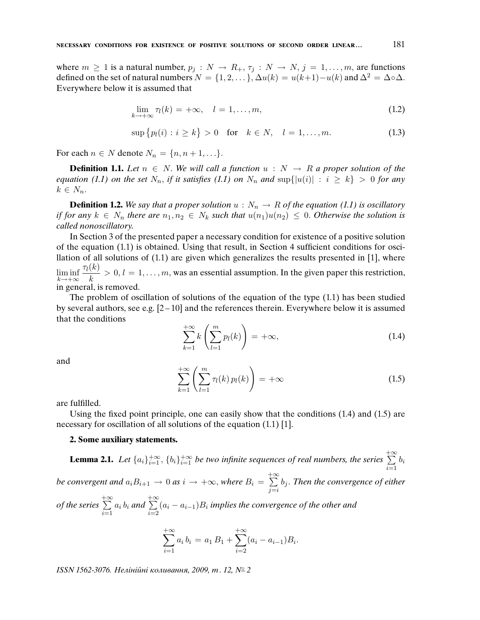where  $m \ge 1$  is a natural number,  $p_j : N \to R_+, \tau_j : N \to N, j = 1, ..., m$ , are functions defined on the set of natural numbers  $N = \{1, 2, \dots\}$ ,  $\Delta u(k) = u(k+1) - u(k)$  and  $\Delta^2 = \Delta \circ \Delta$ . Everywhere below it is assumed that

$$
\lim_{k \to +\infty} \tau_l(k) = +\infty, \quad l = 1, \dots, m,
$$
\n(1.2)

$$
\sup \{p_l(i) : i \ge k\} > 0 \quad \text{for} \quad k \in N, \quad l = 1, \dots, m. \tag{1.3}
$$

For each  $n \in N$  denote  $N_n = \{n, n+1, \ldots\}.$ 

**Definition 1.1.** Let  $n \in N$ . We will call a function  $u : N \to R$  a proper solution of the equation (1.1) on the set  $N_n$ , if it satisfies (1.1) on  $N_n$  and  $\sup\{|u(i)| : i \geq k\} > 0$  for any  $k \in N_n$ .

**Definition 1.2.** We say that a proper solution  $u : N_n \to R$  of the equation (1.1) is oscillatory if for any  $k \in N_n$  there are  $n_1, n_2 \in N_k$  such that  $u(n_1)u(n_2) \leq 0$ . Otherwise the solution is called nonoscillatory.

In Section 3 of the presented paper a necessary condition for existence of a positive solution of the equation (1.1) is obtained. Using that result, in Section 4 sufficient conditions for oscillation of all solutions of (1.1) are given which generalizes the results presented in [1], where  $\liminf_{k \to +\infty}$  $\tau_l(k)$  $\frac{\partial u}{\partial k} > 0, l = 1, \ldots, m$ , was an essential assumption. In the given paper this restriction, in general, is removed.

The problem of oscillation of solutions of the equation of the type (1.1) has been studied by several authors, see e.g.  $[2 - 10]$  and the references therein. Everywhere below it is assumed that the conditions

$$
\sum_{k=1}^{+\infty} k\left(\sum_{l=1}^{m} p_l(k)\right) = +\infty, \tag{1.4}
$$

and

$$
\sum_{k=1}^{+\infty} \left( \sum_{l=1}^{m} \tau_l(k) \, p_l(k) \right) = +\infty \tag{1.5}
$$

are fulfilled.

Using the fixed point principle, one can easily show that the conditions (1.4) and (1.5) are necessary for oscillation of all solutions of the equation (1.1) [1].

### **2. Some auxiliary statements.**

**Lemma 2.1.** Let  $\{a_i\}_{i=1}^{+\infty}$ ,  $\{b_i\}_{i=1}^{+\infty}$  be two infinite sequences of real numbers, the series  $\sum_{i=1}^{+\infty}$  $i=1$  $b_i$ be convergent and  $a_iB_{i+1} \to 0$  as  $i \to +\infty$ , where  $B_i = \sum^{+\infty}$  $j = i$  $b_j.$  Then the convergence of either of the series  $+ \infty$  $i=1$  $a_i b_i$  and  $+ \infty$  $i=2$  $(a_i - a_{i-1})B_i$  implies the convergence of the other and

$$
\sum_{i=1}^{+\infty} a_i b_i = a_1 B_1 + \sum_{i=2}^{+\infty} (a_i - a_{i-1}) B_i.
$$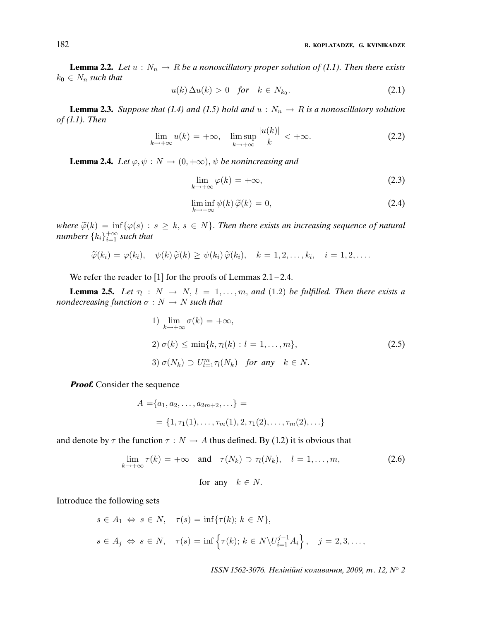**Lemma 2.2.** Let  $u : N_n \to R$  be a nonoscillatory proper solution of (1.1). Then there exists  $k_0 \in N_n$  such that

$$
u(k)\,\Delta u(k) > 0 \quad \text{for} \quad k \in N_{k_0}.\tag{2.1}
$$

**Lemma 2.3.** Suppose that (1.4) and (1.5) hold and  $u : N_n \to R$  is a nonoscillatory solution of (1.1). Then  $|U(t)|$ 

$$
\lim_{k \to +\infty} u(k) = +\infty, \quad \limsup_{k \to +\infty} \frac{|u(k)|}{k} < +\infty. \tag{2.2}
$$

**Lemma 2.4.** Let  $\varphi, \psi : N \to (0, +\infty), \psi$  be nonincreasing and

$$
\lim_{k \to +\infty} \varphi(k) = +\infty,\tag{2.3}
$$

$$
\liminf_{k \to +\infty} \psi(k)\,\widetilde{\varphi}(k) = 0,\tag{2.4}
$$

where  $\widetilde{\varphi}(k) = \inf \{ \varphi(s) : s \geq k, s \in N \}$ . Then there exists an increasing sequence of natural numbers  $\{k_i\}_{i=1}^{+\infty}$  such that

$$
\widetilde{\varphi}(k_i) = \varphi(k_i), \quad \psi(k)\widetilde{\varphi}(k) \ge \psi(k_i)\widetilde{\varphi}(k_i), \quad k = 1, 2, \dots, k_i, \quad i = 1, 2, \dots
$$

We refer the reader to [1] for the proofs of Lemmas 2.1 – 2.4.

**Lemma 2.5.** Let  $\tau_l : N \to N$ ,  $l = 1, ..., m$ , and (1.2) be fulfilled. Then there exists a nondecreasing function  $\sigma : N \to N$  such that

1) 
$$
\lim_{k \to +\infty} \sigma(k) = +\infty,
$$
  
\n2)  $\sigma(k) \le \min\{k, \tau_l(k) : l = 1, \dots, m\},$   
\n3)  $\sigma(N_k) \supset U_{l=1}^m \tau_l(N_k)$  for any  $k \in N$ .  
\n(2.5)

**Proof.** Consider the sequence

$$
A = \{a_1, a_2, \dots, a_{2m+2}, \dots\} =
$$
  
= {1,  $\tau_1$ (1), ...,  $\tau_m$ (1), 2,  $\tau_1$ (2), ...,  $\tau_m$ (2), ...}

and denote by  $\tau$  the function  $\tau : N \to A$  thus defined. By (1.2) it is obvious that

$$
\lim_{k \to +\infty} \tau(k) = +\infty \quad \text{and} \quad \tau(N_k) \supset \tau_l(N_k), \quad l = 1, \dots, m,
$$
\nfor any  $k \in N$ .

\n(2.6)

Introduce the following sets

$$
s \in A_1 \Leftrightarrow s \in N, \quad \tau(s) = \inf \{ \tau(k); \, k \in N \},
$$
  

$$
s \in A_j \Leftrightarrow s \in N, \quad \tau(s) = \inf \left\{ \tau(k); \, k \in N \setminus U_{i=1}^{j-1} A_i \right\}, \quad j = 2, 3, \dots,
$$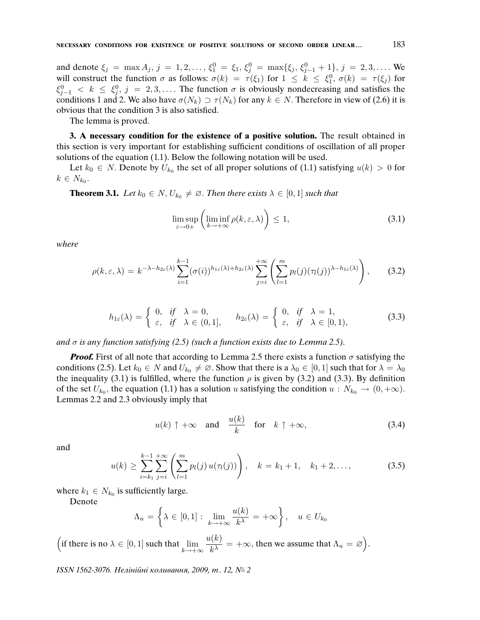and denote  $\xi_j = \max A_j$ ,  $j = 1, 2, ..., \xi_1^0 = \xi_1$ ,  $\xi_j^0 = \max\{\xi_j, \xi_{j-1}^0 + 1\}$ ,  $j = 2, 3, ....$  We will construct the function  $\sigma$  as follows:  $\sigma(k) = \tau(\xi_1)$  for  $1 \leq k \leq \xi_1^0$ ,  $\sigma(k) = \tau(\xi_j)$  for  $\xi_{j-1}^0$  <  $k \leq \xi_j^0$ ,  $j = 2, 3, \ldots$ . The function  $\sigma$  is obviously nondecreasing and satisfies the conditions 1 and 2. We also have  $\sigma(N_k) \supset \tau(N_k)$  for any  $k \in N$ . Therefore in view of (2.6) it is obvious that the condition 3 is also satisfied.

The lemma is proved.

**3. A necessary condition for the existence of a positive solution.** The result obtained in this section is very important for establishing sufficient conditions of oscillation of all proper solutions of the equation (1.1). Below the following notation will be used.

Let  $k_0 \in N$ . Denote by  $U_{k_0}$  the set of all proper solutions of (1.1) satisfying  $u(k) > 0$  for  $k \in N_{k_0}$ .

**Theorem 3.1.** Let  $k_0 \in N$ ,  $U_{k_0} \neq \emptyset$ . Then there exists  $\lambda \in [0,1]$  such that

$$
\limsup_{\varepsilon \to 0+} \left( \liminf_{k \to +\infty} \rho(k, \varepsilon, \lambda) \right) \le 1,
$$
\n(3.1)

where

$$
\rho(k,\varepsilon,\lambda) = k^{-\lambda - h_{2\varepsilon}(\lambda)} \sum_{i=1}^{k-1} (\sigma(i))^{h_{1\varepsilon}(\lambda) + h_{2\varepsilon}(\lambda)} \sum_{j=i}^{+\infty} \left( \sum_{l=1}^m p_l(j) (\tau_l(j))^{\lambda - h_{1\varepsilon}(\lambda)} \right), \quad (3.2)
$$

$$
h_{1\varepsilon}(\lambda) = \begin{cases} 0, & \text{if } \lambda = 0, \\ \varepsilon, & \text{if } \lambda \in (0, 1], \end{cases} \quad h_{2\varepsilon}(\lambda) = \begin{cases} 0, & \text{if } \lambda = 1, \\ \varepsilon, & \text{if } \lambda \in [0, 1), \end{cases} \tag{3.3}
$$

and  $\sigma$  is any function satisfying (2.5) (such a function exists due to Lemma 2.5).

**Proof.** First of all note that according to Lemma 2.5 there exists a function  $\sigma$  satisfying the conditions (2.5). Let  $k_0 \in N$  and  $U_{k_0} \neq \emptyset$ . Show that there is a  $\lambda_0 \in [0,1]$  such that for  $\lambda = \lambda_0$ the inequality (3.1) is fulfilled, where the function  $\rho$  is given by (3.2) and (3.3). By definition of the set  $U_{k_0}$ , the equation (1.1) has a solution u satisfying the condition  $u : N_{k_0} \to (0, +\infty)$ . Lemmas 2.2 and 2.3 obviously imply that

$$
u(k) \uparrow +\infty
$$
 and  $\frac{u(k)}{k}$  for  $k \uparrow +\infty$ , (3.4)

and

$$
u(k) \geq \sum_{i=k_1}^{k-1} \sum_{j=i}^{+\infty} \left( \sum_{l=1}^{m} p_l(j) u(\tau_l(j)) \right), \quad k = k_1 + 1, \quad k_1 + 2, \dots,
$$
 (3.5)

where  $k_1 \in N_{k_0}$  is sufficiently large.

Denote

$$
\Lambda_u = \left\{ \lambda \in [0,1] : \lim_{k \to +\infty} \frac{u(k)}{k^{\lambda}} = +\infty \right\}, \quad u \in U_{k_0}
$$

(if there is no  $\lambda \in [0, 1]$  such that  $\lim_{k \to +\infty}$  $u(k)$  $\frac{\mu(k)}{k^{\lambda}} = +\infty$ , then we assume that  $\Lambda_u = \varnothing$ .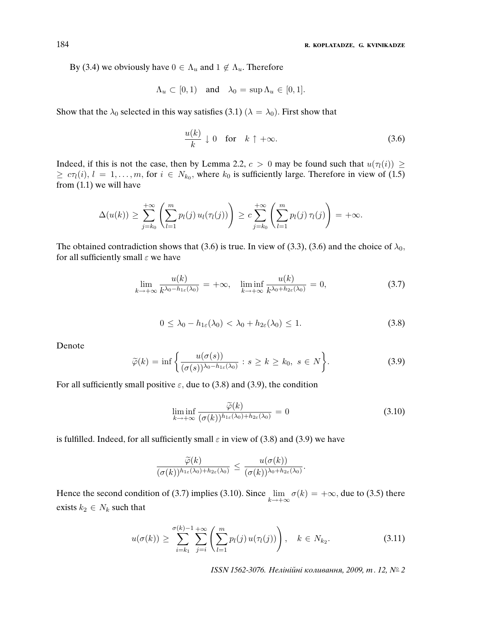By (3.4) we obviously have  $0 \in \Lambda_u$  and  $1 \notin \Lambda_u$ . Therefore

$$
\Lambda_u \subset [0,1) \quad \text{and} \quad \lambda_0 = \sup \Lambda_u \in [0,1].
$$

Show that the  $\lambda_0$  selected in this way satisfies (3.1) ( $\lambda = \lambda_0$ ). First show that

$$
\frac{u(k)}{k} \downarrow 0 \quad \text{for} \quad k \uparrow +\infty. \tag{3.6}
$$

Indeed, if this is not the case, then by Lemma 2.2,  $c > 0$  may be found such that  $u(\tau_i(i)) \geq$  $\geq c\tau_i(i), i = 1, \ldots, m$ , for  $i \in N_{k_0}$ , where  $k_0$  is sufficiently large. Therefore in view of (1.5) from (1.1) we will have

$$
\Delta(u(k)) \geq \sum_{j=k_0}^{+\infty} \left( \sum_{l=1}^m p_l(j) u_l(\tau_l(j)) \right) \geq c \sum_{j=k_0}^{+\infty} \left( \sum_{l=1}^m p_l(j) \tau_l(j) \right) = +\infty.
$$

The obtained contradiction shows that (3.6) is true. In view of (3.3), (3.6) and the choice of  $\lambda_0$ , for all sufficiently small  $\varepsilon$  we have

$$
\lim_{k \to +\infty} \frac{u(k)}{k^{\lambda_0 - h_{1\varepsilon}(\lambda_0)}} = +\infty, \quad \liminf_{k \to +\infty} \frac{u(k)}{k^{\lambda_0 + h_{2\varepsilon}(\lambda_0)}} = 0,\tag{3.7}
$$

$$
0 \leq \lambda_0 - h_{1\varepsilon}(\lambda_0) < \lambda_0 + h_{2\varepsilon}(\lambda_0) \leq 1. \tag{3.8}
$$

Denote

$$
\widetilde{\varphi}(k) = \inf \left\{ \frac{u(\sigma(s))}{(\sigma(s))^{\lambda_0 - h_{1\varepsilon}(\lambda_0)}} : s \ge k \ge k_0, \ s \in N \right\}.
$$
 (3.9)

For all sufficiently small positive  $\varepsilon$ , due to (3.8) and (3.9), the condition

$$
\liminf_{k \to +\infty} \frac{\widetilde{\varphi}(k)}{(\sigma(k))^{h_{1\varepsilon}(\lambda_0) + h_{2\varepsilon}(\lambda_0)}} = 0
$$
\n(3.10)

is fulfilled. Indeed, for all sufficiently small  $\varepsilon$  in view of (3.8) and (3.9) we have

$$
\frac{\widetilde{\varphi}(k)}{(\sigma(k))^{h_{1\varepsilon}(\lambda_0)+h_{2\varepsilon}(\lambda_0)}}\leq \frac{u(\sigma(k))}{(\sigma(k))^{\lambda_0+h_{2\varepsilon}(\lambda_0)}}.
$$

Hence the second condition of (3.7) implies (3.10). Since  $\lim_{k \to +\infty} \sigma(k) = +\infty$ , due to (3.5) there exists  $k_2 \in N_k$  such that

$$
u(\sigma(k)) \geq \sum_{i=k_1}^{\sigma(k)-1} \sum_{j=i}^{+\infty} \left( \sum_{l=1}^{m} p_l(j) u(\tau_l(j)) \right), \quad k \in N_{k_2}.
$$
 (3.11)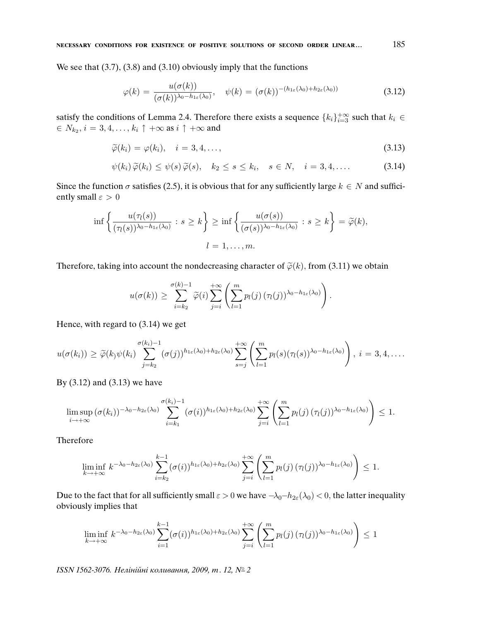We see that  $(3.7)$ ,  $(3.8)$  and  $(3.10)$  obviously imply that the functions

$$
\varphi(k) = \frac{u(\sigma(k))}{(\sigma(k))^{\lambda_0 - h_{1\varepsilon}(\lambda_0)}}, \quad \psi(k) = (\sigma(k))^{-(h_{1\varepsilon}(\lambda_0) + h_{2\varepsilon}(\lambda_0))}
$$
(3.12)

satisfy the conditions of Lemma 2.4. Therefore there exists a sequence  $\{k_i\}_{i=3}^{+\infty}$  such that  $k_i \in$  $\in N_{k_2}, i = 3, 4, \ldots, k_i \uparrow +\infty$  as  $i \uparrow +\infty$  and

$$
\widetilde{\varphi}(k_i) = \varphi(k_i), \quad i = 3, 4, \dots,
$$
\n(3.13)

$$
\psi(k_i)\,\widetilde{\varphi}(k_i)\leq \psi(s)\,\widetilde{\varphi}(s),\quad k_2\leq s\leq k_i,\quad s\in N,\quad i=3,4,\ldots \qquad (3.14)
$$

Since the function  $\sigma$  satisfies (2.5), it is obvious that for any sufficiently large  $k \in N$  and sufficiently small  $\varepsilon > 0$ 

$$
\inf \left\{ \frac{u(\tau_l(s))}{(\tau_l(s))^{\lambda_0 - h_{1\varepsilon}(\lambda_0)}} : s \ge k \right\} \ge \inf \left\{ \frac{u(\sigma(s))}{(\sigma(s))^{\lambda_0 - h_{1\varepsilon}(\lambda_0)}} : s \ge k \right\} = \widetilde{\varphi}(k),
$$
  

$$
l = 1, \dots, m.
$$

Therefore, taking into account the nondecreasing character of  $\tilde{\varphi}(k)$ , from (3.11) we obtain

$$
u(\sigma(k)) \geq \sum_{i=k_2}^{\sigma(k)-1} \widetilde{\varphi}(i) \sum_{j=i}^{+\infty} \left( \sum_{l=1}^m p_l(j) \, (\tau_l(j))^{\lambda_0-h_{1\epsilon}(\lambda_0)} \right).
$$

Hence, with regard to (3.14) we get

$$
u(\sigma(k_i)) \geq \widetilde{\varphi}(k)\psi(k_i) \sum_{j=k_2}^{\sigma(k_i)-1} (\sigma(j))^{h_{1\varepsilon}(\lambda_0)+h_{2\varepsilon}(\lambda_0)} \sum_{s=j}^{+\infty} \left( \sum_{l=1}^m p_l(s) (\tau_l(s))^{\lambda_0-h_{1\varepsilon}(\lambda_0)} \right), i=3,4,\ldots.
$$

By (3.12) and (3.13) we have

$$
\limsup_{i\to+\infty}(\sigma(k_i))^{-\lambda_0-h_{2\varepsilon}(\lambda_0)}\sum_{i=k_1}^{\sigma(k_i)-1}(\sigma(i))^{h_{1\varepsilon}(\lambda_0)+h_{2\varepsilon}(\lambda_0)}\sum_{j=i}^{+\infty}\left(\sum_{l=1}^m p_l(j)\,(\tau_l(j))^{\lambda_0-h_{1\varepsilon}(\lambda_0)}\right)\leq 1.
$$

Therefore

$$
\liminf_{k\to+\infty} k^{-\lambda_0-h_{2\varepsilon}(\lambda_0)} \sum_{i=k_2}^{k-1} (\sigma(i))^{h_{1\varepsilon}(\lambda_0)+h_{2\varepsilon}(\lambda_0)} \sum_{j=i}^{+\infty} \left( \sum_{l=1}^m p_l(j) \, (\tau_l(j))^{\lambda_0-h_{1\varepsilon}(\lambda_0)} \right) \leq 1.
$$

Due to the fact that for all sufficiently small  $\varepsilon > 0$  we have  $-\lambda_0 - h_{2\varepsilon}(\lambda_0) < 0$ , the latter inequality obviously implies that

$$
\liminf_{k \to +\infty} k^{-\lambda_0 - h_{2\varepsilon}(\lambda_0)} \sum_{i=1}^{k-1} (\sigma(i))^{h_{1\varepsilon}(\lambda_0) + h_{2\varepsilon}(\lambda_0)} \sum_{j=i}^{+\infty} \left( \sum_{l=1}^m p_l(j) \left( \tau_l(j) \right)^{\lambda_0 - h_{1\varepsilon}(\lambda_0)} \right) \leq 1
$$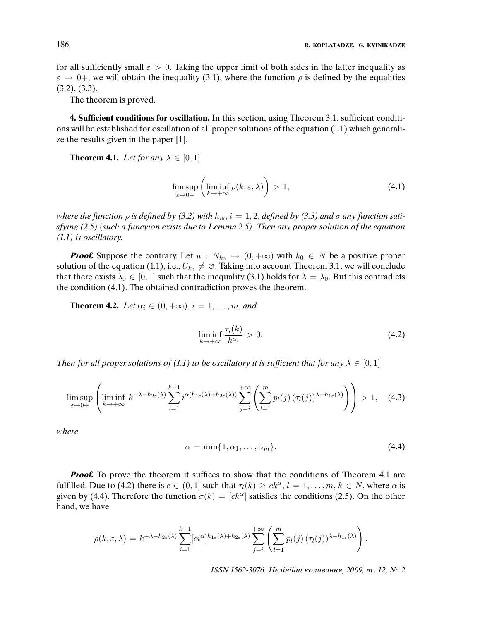for all sufficiently small  $\varepsilon > 0$ . Taking the upper limit of both sides in the latter inequality as  $\varepsilon \to 0^+$ , we will obtain the inequality (3.1), where the function  $\rho$  is defined by the equalities  $(3.2), (3.3).$ 

The theorem is proved.

**4. Sufficient conditions for oscillation.** In this section, using Theorem 3.1, sufficient conditions will be established for oscillation of all proper solutions of the equation (1.1) which generalize the results given in the paper [1].

**Theorem 4.1.** Let for any  $\lambda \in [0,1]$ 

$$
\limsup_{\varepsilon \to 0+} \left( \liminf_{k \to +\infty} \rho(k, \varepsilon, \lambda) \right) > 1,
$$
\n(4.1)

where the function  $\rho$  is defined by (3.2) with  $h_{i\epsilon}$ ,  $i = 1, 2$ , defined by (3.3) and  $\sigma$  any function satisfying (2.5) (such a funcyion exists due to Lemma 2.5). Then any proper solution of the equation (1.1) is oscillatory.

**Proof.** Suppose the contrary. Let  $u : N_{k_0} \to (0, +\infty)$  with  $k_0 \in N$  be a positive proper solution of the equation (1.1), i.e.,  $U_{k_0} \neq \emptyset$ . Taking into account Theorem 3.1, we will conclude that there exists  $\lambda_0 \in [0, 1]$  such that the inequality (3.1) holds for  $\lambda = \lambda_0$ . But this contradicts the condition (4.1). The obtained contradiction proves the theorem.

**Theorem 4.2.** Let  $\alpha_i \in (0, +\infty), i = 1, \ldots, m,$  and

$$
\liminf_{k \to +\infty} \frac{\tau_i(k)}{k^{\alpha_i}} > 0. \tag{4.2}
$$

Then for all proper solutions of (1.1) to be oscillatory it is sufficient that for any  $\lambda \in [0,1]$ 

$$
\limsup_{\varepsilon \to 0+} \left( \liminf_{k \to +\infty} k^{-\lambda - h_{2\varepsilon}(\lambda)} \sum_{i=1}^{k-1} i^{\alpha(h_{1\varepsilon}(\lambda) + h_{2\varepsilon}(\lambda))} \sum_{j=i}^{+\infty} \left( \sum_{l=1}^m p_l(j) \left( \tau_l(j) \right)^{\lambda - h_{1\varepsilon}(\lambda)} \right) \right) > 1, \quad (4.3)
$$

where

$$
\alpha = \min\{1, \alpha_1, \dots, \alpha_m\}.\tag{4.4}
$$

*Proof.* To prove the theorem it suffices to show that the conditions of Theorem 4.1 are fulfilled. Due to (4.2) there is  $c \in (0,1]$  such that  $\tau_l(k) \ge ck^\alpha, l = 1, \ldots, m, k \in N$ , where  $\alpha$  is given by (4.4). Therefore the function  $\sigma(k) = [ck^{\alpha}]$  satisfies the conditions (2.5). On the other hand, we have

$$
\rho(k,\varepsilon,\lambda) = k^{-\lambda - h_{2\varepsilon}(\lambda)} \sum_{i=1}^{k-1} [c i^{\alpha}]^{h_{1\varepsilon}(\lambda) + h_{2\varepsilon}(\lambda)} \sum_{j=i}^{+\infty} \left( \sum_{l=1}^m p_l(j) \left( \tau_l(j) \right)^{\lambda - h_{1\varepsilon}(\lambda)} \right).
$$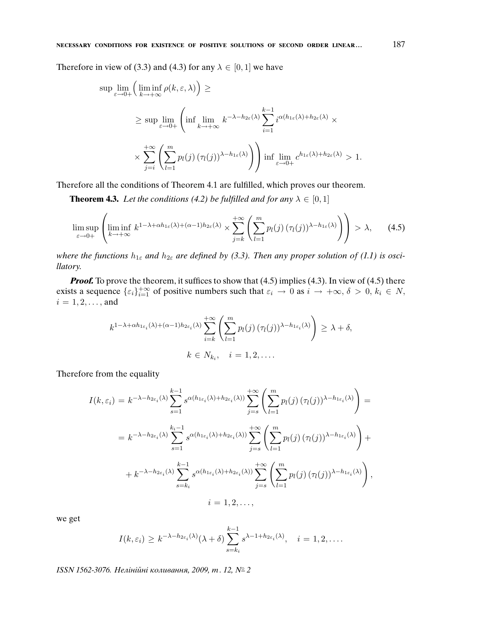Therefore in view of (3.3) and (4.3) for any  $\lambda \in [0, 1]$  we have

$$
\sup_{\varepsilon \to 0+} \lim_{k \to +\infty} \rho(k, \varepsilon, \lambda) \ge
$$
\n
$$
\ge \sup_{\varepsilon \to 0+} \lim_{k \to +\infty} \left( \inf_{k \to +\infty} k^{-\lambda - h_{2\varepsilon}(\lambda)} \sum_{i=1}^{k-1} i^{\alpha(h_{1\varepsilon}(\lambda) + h_{2\varepsilon}(\lambda)} \times \sum_{j=i}^{+\infty} \left( \sum_{l=1}^m p_l(j) (\tau_l(j))^{\lambda - h_{1\varepsilon}(\lambda)} \right) \right) \inf_{\varepsilon \to 0+} \lim_{\varepsilon \to 0+} c^{h_{1\varepsilon}(\lambda) + h_{2\varepsilon}(\lambda)} > 1.
$$

Therefore all the conditions of Theorem 4.1 are fulfilled, which proves our theorem.

**Theorem 4.3.** Let the conditions (4.2) be fulfilled and for any  $\lambda \in [0,1]$ 

$$
\limsup_{\varepsilon \to 0+} \left( \liminf_{k \to +\infty} k^{1-\lambda + \alpha h_{1\varepsilon}(\lambda) + (\alpha - 1)h_{2\varepsilon}(\lambda)} \times \sum_{j=k}^{+\infty} \left( \sum_{l=1}^m p_l(j) \left( \tau_l(j) \right)^{\lambda - h_{1\varepsilon}(\lambda)} \right) \right) > \lambda, \qquad (4.5)
$$

where the functions  $h_{1\varepsilon}$  and  $h_{2\varepsilon}$  are defined by (3.3). Then any proper solution of (1.1) is oscillatory.

**Proof.** To prove the theorem, it suffices to show that (4.5) implies (4.3). In view of (4.5) there exists a sequence  $\{\varepsilon_i\}_{i=1}^{+\infty}$  of positive numbers such that  $\varepsilon_i \to 0$  as  $i \to +\infty$ ,  $\delta > 0$ ,  $k_i \in N$ ,  $i = 1, 2, \ldots,$  and

$$
k^{1-\lambda+\alpha h_{1\varepsilon_i}(\lambda)+(\alpha-1)h_{2\varepsilon_i}(\lambda)}\sum_{i=k}^{+\infty}\left(\sum_{l=1}^m p_l(j)\,(\tau_l(j))^{\lambda-h_{1\varepsilon_i}(\lambda)}\right)\geq \lambda+\delta,
$$
  

$$
k\in N_{k_i}, \quad i=1,2,\ldots.
$$

Therefore from the equality

$$
I(k, \varepsilon_i) = k^{-\lambda - h_{2\varepsilon_i}(\lambda)} \sum_{s=1}^{k-1} s^{\alpha(h_{1\varepsilon_i}(\lambda) + h_{2\varepsilon_i}(\lambda))} \sum_{j=s}^{+\infty} \left( \sum_{l=1}^m p_l(j) (\tau_l(j))^{\lambda - h_{1\varepsilon_i}(\lambda)} \right) =
$$
  

$$
= k^{-\lambda - h_{2\varepsilon_i}(\lambda)} \sum_{s=1}^{k_i - 1} s^{\alpha(h_{1\varepsilon_i}(\lambda) + h_{2\varepsilon_i}(\lambda))} \sum_{j=s}^{+\infty} \left( \sum_{l=1}^m p_l(j) (\tau_l(j))^{\lambda - h_{1\varepsilon_i}(\lambda)} \right) +
$$
  

$$
+ k^{-\lambda - h_{2\varepsilon_i}(\lambda)} \sum_{s=k_i}^{k-1} s^{\alpha(h_{1\varepsilon_i}(\lambda) + h_{2\varepsilon_i}(\lambda))} \sum_{j=s}^{+\infty} \left( \sum_{l=1}^m p_l(j) (\tau_l(j))^{\lambda - h_{1\varepsilon_i}(\lambda)} \right),
$$
  
 $i = 1, 2, ...,$ 

we get

$$
I(k,\varepsilon_i) \geq k^{-\lambda - h_{2\varepsilon_i}(\lambda)} (\lambda + \delta) \sum_{s=k_i}^{k-1} s^{\lambda - 1 + h_{2\varepsilon_i}(\lambda)}, \quad i = 1, 2, \dots
$$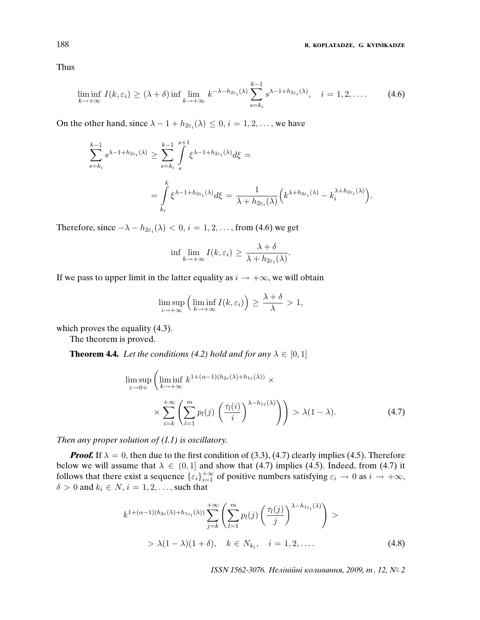Thus

$$
\liminf_{k \to +\infty} I(k, \varepsilon_i) \ge (\lambda + \delta) \inf \lim_{k \to +\infty} k^{-\lambda - h_{2\varepsilon_i}(\lambda)} \sum_{s=k_i}^{k-1} s^{\lambda - 1 + h_{2\varepsilon_i}(\lambda)}, \quad i = 1, 2, \dots \tag{4.6}
$$

On the other hand, since  $\lambda - 1 + h_{2\varepsilon_i}(\lambda) \leq 0, i = 1, 2, \dots$ , we have

$$
\sum_{s=k_i}^{k-1} s^{\lambda-1+h_{2\varepsilon_i}(\lambda)} \ge \sum_{s=k_i}^{k-1} \int_s^{s+1} \xi^{\lambda-1+h_{2\varepsilon_i}(\lambda)} d\xi = \frac{\int_s^k \xi^{\lambda-1+h_{2\varepsilon_i}(\lambda)} d\xi = \frac{1}{\lambda+h_{2\varepsilon_i}(\lambda)} \Big(k^{\lambda+h_{2\varepsilon_i}(\lambda)} - k_i^{\lambda+h_{2\varepsilon_i}(\lambda)}\Big).
$$

Therefore, since  $-\lambda - h_{2\varepsilon_i}(\lambda) < 0$ ,  $i = 1, 2, \dots$ , from (4.6) we get

$$
\inf \lim_{k \to +\infty} I(k, \varepsilon_i) \ge \frac{\lambda + \delta}{\lambda + h_{2\varepsilon_i}(\lambda)}.
$$

If we pass to upper limit in the latter equality as  $i \rightarrow +\infty$ , we will obtain

$$
\limsup_{i \to +\infty} \left( \liminf_{k \to +\infty} I(k, \varepsilon_i) \right) \ge \frac{\lambda + \delta}{\lambda} > 1,
$$

which proves the equality  $(4.3)$ .

The theorem is proved.

**Theorem 4.4.** Let the conditions (4.2) hold and for any  $\lambda \in [0, 1]$ 

$$
\limsup_{\varepsilon \to 0+} \left( \liminf_{k \to +\infty} k^{1+(\alpha-1)(h_{2\varepsilon}(\lambda)+h_{1\varepsilon}(\lambda))} \times \sum_{i=k}^{+\infty} \left( \sum_{l=1}^m p_l(j) \left( \frac{\tau_l(i)}{i} \right)^{\lambda - h_{1\varepsilon}(\lambda)} \right) \right) > \lambda(1-\lambda).
$$
\n(4.7)

Then any proper solution of  $(1.1)$  is oscillatory.

**Proof.** If  $\lambda = 0$ , then due to the first condition of (3.3), (4.7) clearly implies (4.5). Therefore below we will assume that  $\lambda \in (0, 1]$  and show that (4.7) implies (4.5). Indeed, from (4.7) it follows that there exist a sequence  $\{\varepsilon_i\}_{i=1}^{+\infty}$  of positive numbers satisfying  $\varepsilon_i \to 0$  as  $i \to +\infty$ ,  $\delta > 0$  and  $k_i \in N$ ,  $i = 1, 2, \ldots$ , such that

$$
k^{1+(\alpha-1)(h_{2\epsilon}(\lambda)+h_{1\epsilon_i}(\lambda))} \sum_{j=k}^{+\infty} \left( \sum_{l=1}^m p_l(j) \left( \frac{\tau_l(j)}{j} \right)^{\lambda-h_{1\epsilon_i}(\lambda)} \right) >
$$
  
>  $\lambda(1-\lambda)(1+\delta), \quad k \in N_{k_i}, \quad i = 1, 2, ....$  (4.8)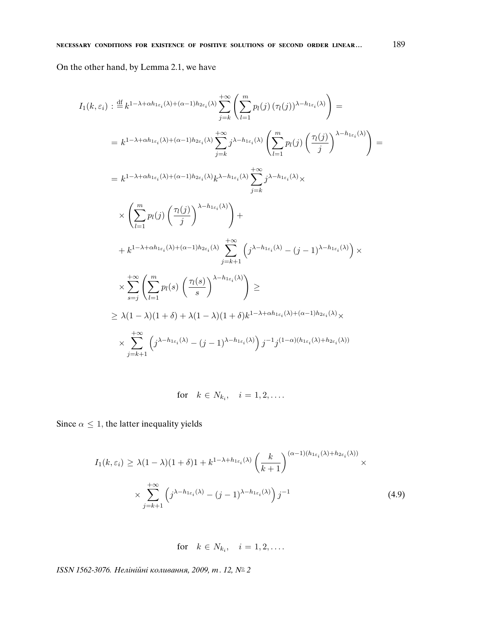On the other hand, by Lemma 2.1, we have

$$
I_{1}(k, \varepsilon_{i}) : \stackrel{\text{df}}{=} k^{1-\lambda+\alpha h_{1\varepsilon_{i}}(\lambda)+(\alpha-1)h_{2\varepsilon_{i}}(\lambda)} \sum_{j=k}^{+\infty} \left( \sum_{l=1}^{m} p_{l}(j) (\tau_{l}(j))^{\lambda-h_{1\varepsilon_{i}}(\lambda)} \right) =
$$
\n
$$
= k^{1-\lambda+\alpha h_{1\varepsilon_{i}}(\lambda)+(\alpha-1)h_{2\varepsilon_{i}}(\lambda)} \sum_{j=k}^{+\infty} j^{\lambda-h_{1\varepsilon_{i}}(\lambda)} \left( \sum_{l=1}^{m} p_{l}(j) \left( \frac{\tau_{l}(j)}{j} \right)^{\lambda-h_{1\varepsilon_{i}}(\lambda)} \right) =
$$
\n
$$
= k^{1-\lambda+\alpha h_{1\varepsilon_{i}}(\lambda)+(\alpha-1)h_{2\varepsilon_{i}}(\lambda)} k^{\lambda-h_{1\varepsilon_{i}}(\lambda)} \sum_{j=k}^{+\infty} j^{\lambda-h_{1\varepsilon_{i}}(\lambda)} \times
$$
\n
$$
\times \left( \sum_{l=1}^{m} p_{l}(j) \left( \frac{\tau_{l}(j)}{j} \right)^{\lambda-h_{1\varepsilon_{i}}(\lambda)} \right) +
$$
\n
$$
+ k^{1-\lambda+\alpha h_{1\varepsilon_{i}}(\lambda)+(\alpha-1)h_{2\varepsilon_{i}}(\lambda)} \sum_{j=k+1}^{+\infty} \left( j^{\lambda-h_{1\varepsilon_{i}}(\lambda)} - (j-1)^{\lambda-h_{1\varepsilon_{i}}(\lambda)} \right) \times
$$
\n
$$
\times \sum_{s=j}^{+\infty} \left( \sum_{l=1}^{m} p_{l}(s) \left( \frac{\tau_{l}(s)}{s} \right)^{\lambda-h_{1\varepsilon_{i}}(\lambda)} \right) \ge
$$
\n
$$
\geq \lambda(1-\lambda)(1+\delta) + \lambda(1-\lambda)(1+\delta)k^{1-\lambda+\alpha h_{1\varepsilon_{i}}(\lambda)+(\alpha-1)h_{2\varepsilon_{i}}(\lambda)} \times
$$
\n
$$
\times \sum_{j=k+1}^{+\infty} \left( j^{\lambda-h_{1\varepsilon_{i}}(\lambda)} - (j-1)^{\lambda-h_{1\varepsilon_{i}}(\lambda)} \right)j^{-1}j^{(1-\alpha)(h_{1\varepsilon_{i}}(\lambda)+h_{2\varepsilon_{i}}(\lambda))}
$$

for  $k \in N_{k_i}, \quad i = 1, 2, \ldots$ 

Since  $\alpha \leq 1$ , the latter inequality yields

$$
I_1(k,\varepsilon_i) \ge \lambda (1-\lambda)(1+\delta)1 + k^{1-\lambda + h_{1\varepsilon_i}(\lambda)} \left(\frac{k}{k+1}\right)^{(\alpha-1)(h_{1\varepsilon_i}(\lambda) + h_{2\varepsilon_i}(\lambda))} \times \sum_{j=k+1}^{+\infty} \left(j^{\lambda - h_{1\varepsilon_i}(\lambda)} - (j-1)^{\lambda - h_{1\varepsilon_i}(\lambda)}\right) j^{-1}
$$
\n(4.9)

for  $k \in N_{k_i}, \quad i = 1, 2, \ldots$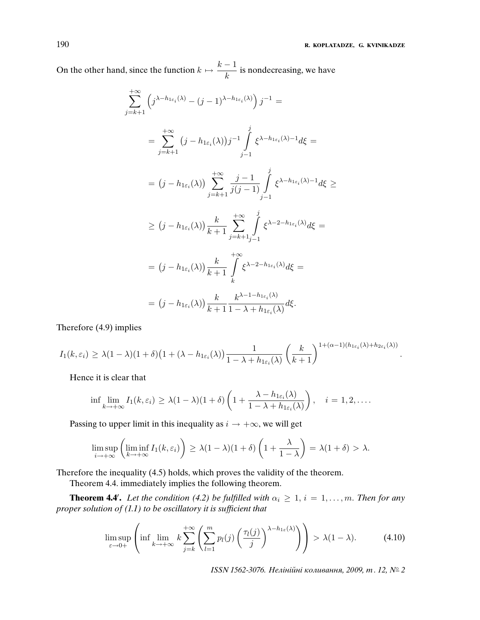.

On the other hand, since the function  $k \mapsto \frac{k-1}{l}$  $\frac{1}{k}$  is nondecreasing, we have

$$
\sum_{j=k+1}^{+\infty} \left( j^{\lambda - h_{1\epsilon_i}(\lambda)} - (j-1)^{\lambda - h_{1\epsilon_i}(\lambda)} \right) j^{-1} =
$$
\n
$$
= \sum_{j=k+1}^{+\infty} \left( j - h_{1\epsilon_i}(\lambda) \right) j^{-1} \int_{j-1}^{j} \xi^{\lambda - h_{1\epsilon_i}(\lambda) - 1} d\xi =
$$
\n
$$
= (j - h_{1\epsilon_i}(\lambda)) \sum_{j=k+1}^{+\infty} \frac{j-1}{j(j-1)} \int_{j-1}^{j} \xi^{\lambda - h_{1\epsilon_i}(\lambda) - 1} d\xi \ge
$$
\n
$$
\ge (j - h_{1\epsilon_i}(\lambda)) \frac{k}{k+1} \sum_{j=k+1}^{+\infty} \int_{j-1}^{j} \xi^{\lambda - 2 - h_{1\epsilon_i}(\lambda)} d\xi =
$$
\n
$$
= (j - h_{1\epsilon_i}(\lambda)) \frac{k}{k+1} \int_{k}^{+\infty} \xi^{\lambda - 2 - h_{1\epsilon_i}(\lambda)} d\xi =
$$
\n
$$
= (j - h_{1\epsilon_i}(\lambda)) \frac{k}{k+1} \frac{k^{\lambda - 1 - h_{1\epsilon_i}(\lambda)}}{1 - \lambda + h_{1\epsilon_i}(\lambda)} d\xi.
$$

Therefore (4.9) implies

$$
I_1(k, \varepsilon_i) \geq \lambda (1 - \lambda)(1 + \delta) \left(1 + (\lambda - h_{1\varepsilon_i}(\lambda)) \frac{1}{1 - \lambda + h_{1\varepsilon_i}(\lambda)} \left(\frac{k}{k+1}\right)^{1 + (\alpha - 1)(h_{1\varepsilon_i}(\lambda) + h_{2\varepsilon_i}(\lambda))}\right)
$$

Hence it is clear that

$$
\inf \lim_{k \to +\infty} I_1(k, \varepsilon_i) \geq \lambda (1 - \lambda) (1 + \delta) \left( 1 + \frac{\lambda - h_{1\varepsilon_i}(\lambda)}{1 - \lambda + h_{1\varepsilon_i}(\lambda)} \right), \quad i = 1, 2, \dots.
$$

Passing to upper limit in this inequality as  $i \rightarrow +\infty$ , we will get

$$
\limsup_{i \to +\infty} \left( \liminf_{k \to +\infty} I_1(k, \varepsilon_i) \right) \ge \lambda (1 - \lambda) (1 + \delta) \left( 1 + \frac{\lambda}{1 - \lambda} \right) = \lambda (1 + \delta) > \lambda.
$$

Therefore the inequality (4.5) holds, which proves the validity of the theorem.

Theorem 4.4. immediately implies the following theorem.

**Theorem 4.4'.** Let the condition (4.2) be fulfilled with  $\alpha_i \geq 1$ ,  $i = 1, \ldots, m$ . Then for any proper solution of (1.1) to be oscillatory it is suf*fi*cient that

$$
\limsup_{\varepsilon \to 0+} \left( \inf \lim_{k \to +\infty} k \sum_{j=k}^{+\infty} \left( \sum_{l=1}^m p_l(j) \left( \frac{\tau_l(j)}{j} \right)^{\lambda - h_{1\varepsilon}(\lambda)} \right) \right) > \lambda(1-\lambda). \tag{4.10}
$$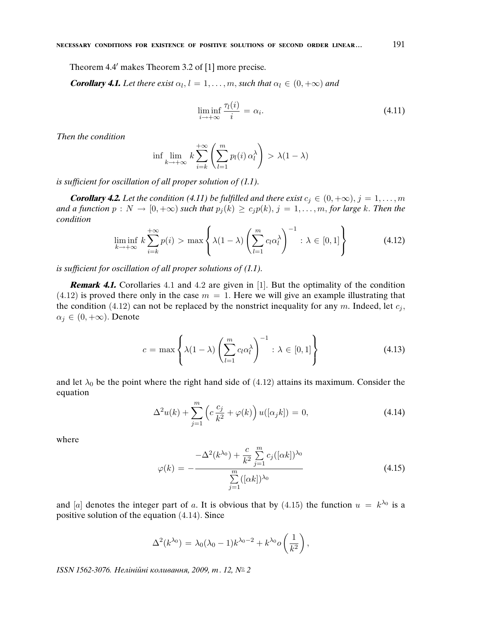Theorem 4.4' makes Theorem 3.2 of [1] more precise.

**Corollary 4.1.** Let there exist  $\alpha_l$ ,  $l = 1, \ldots, m$ , such that  $\alpha_l \in (0, +\infty)$  and

$$
\liminf_{i \to +\infty} \frac{\tau_l(i)}{i} = \alpha_i.
$$
\n(4.11)

Then the condition

$$
\inf \lim_{k \to +\infty} k \sum_{i=k}^{+\infty} \left( \sum_{l=1}^{m} p_l(i) \alpha_l^{\lambda} \right) > \lambda (1 - \lambda)
$$

is suf*fi*cient for oscillation of all proper solution of (1.1).

**Corollary 4.2.** Let the condition (4.11) be fulfilled and there exist  $c_i \in (0, +\infty), j = 1, \ldots, m$ and a function  $p : N \to [0, +\infty)$  such that  $p_i(k) \ge c_i p(k), j = 1, ..., m$ , for large k. Then the condition

$$
\liminf_{k \to +\infty} k \sum_{i=k}^{+\infty} p(i) > \max \left\{ \lambda (1 - \lambda) \left( \sum_{l=1}^{m} c_l \alpha_l^{\lambda} \right)^{-1} : \lambda \in [0, 1] \right\}
$$
(4.12)

is suf*fi*cient for oscillation of all proper solutions of (1.1).

**Remark 4.1.** Corollaries 4.1 and 4.2 are given in [1]. But the optimality of the condition  $(4.12)$  is proved there only in the case  $m = 1$ . Here we will give an example illustrating that the condition (4.12) can not be replaced by the nonstrict inequality for any m. Indeed, let  $c_j$ ,  $\alpha_i \in (0, +\infty)$ . Denote

$$
c = \max\left\{\lambda(1-\lambda)\left(\sum_{l=1}^{m}c_l\alpha_l^{\lambda}\right)^{-1} : \lambda \in [0,1]\right\}
$$
 (4.13)

and let  $\lambda_0$  be the point where the right hand side of (4.12) attains its maximum. Consider the equation

$$
\Delta^2 u(k) + \sum_{j=1}^m \left( c \frac{c_j}{k^2} + \varphi(k) \right) u([\alpha_j k]) = 0,
$$
\n(4.14)

where

$$
\varphi(k) = -\frac{-\Delta^2(k^{\lambda_0}) + \frac{c}{k^2} \sum_{j=1}^m c_j ([\alpha k])^{\lambda_0}}{\sum_{j=1}^m ([\alpha k])^{\lambda_0}}
$$
(4.15)

and [a] denotes the integer part of a. It is obvious that by (4.15) the function  $u = k^{\lambda_0}$  is a positive solution of the equation (4.14). Since

$$
\Delta^2(k^{\lambda_0}) = \lambda_0(\lambda_0 - 1)k^{\lambda_0 - 2} + k^{\lambda_0}o\left(\frac{1}{k^2}\right),
$$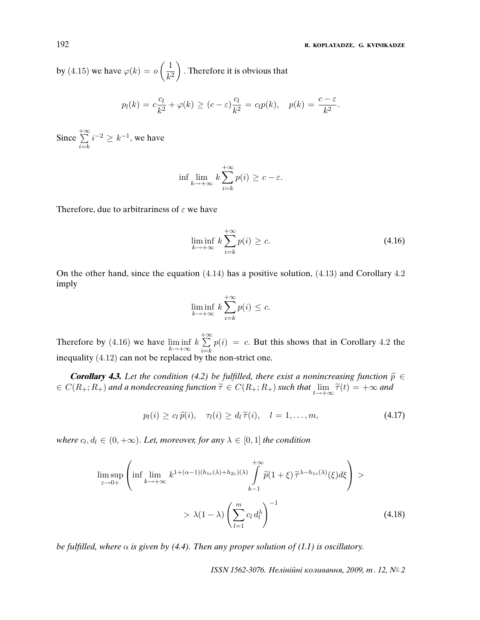by (4.15) we have  $\varphi(k) = o\left(\frac{1}{k}\right)$  $k<sup>2</sup>$ . Therefore it is obvious that

$$
p_l(k) = c\frac{c_l}{k^2} + \varphi(k) \ge (c - \varepsilon)\frac{c_l}{k^2} = c_l p(k), \quad p(k) = \frac{c - \varepsilon}{k^2}.
$$

Since  $+ \infty$  $i=$  $i^{-2} \geq k^{-1}$ , we have

$$
\inf \lim_{k \to +\infty} k \sum_{i=k}^{+\infty} p(i) \ge c - \varepsilon.
$$

Therefore, due to arbitrariness of  $\varepsilon$  we have

$$
\liminf_{k \to +\infty} k \sum_{i=k}^{+\infty} p(i) \ge c. \tag{4.16}
$$

On the other hand, since the equation (4.14) has a positive solution, (4.13) and Corollary 4.2 imply

$$
\liminf_{k \to +\infty} k \sum_{i=k}^{+\infty} p(i) \leq c.
$$

Therefore by (4.16) we have  $\liminf_{k \to +\infty} k$  $+ \infty$  $i=$ k  $p(i) = c$ . But this shows that in Corollary 4.2 the inequality (4.12) can not be replaced by the non-strict one.

**Corollary 4.3.** Let the condition (4.2) be fulfilled, there exist a nonincreasing function  $\tilde{p} \in$  $\epsilon \in C(R_+;R_+)$  and a nondecreasing function  $\widetilde{\tau} \in C(R_+;R_+)$  such that  $\lim_{t \to +\infty} \widetilde{\tau}(t) = +\infty$  and

$$
p_l(i) \ge c_l \widetilde{p}(i), \quad \tau_l(i) \ge d_l \widetilde{\tau}(i), \quad l = 1, \dots, m,
$$
\n
$$
(4.17)
$$

where  $c_l, d_l \in (0, +\infty)$ . Let, moreover, for any  $\lambda \in [0, 1]$  the condition

$$
\limsup_{\varepsilon \to 0+} \left( \inf \lim_{k \to +\infty} k^{1+(\alpha-1)(h_{1\varepsilon}(\lambda)+h_{2\varepsilon})(\lambda)} \int_{k-1}^{+\infty} \widetilde{p}(1+\xi) \, \widetilde{\tau}^{\lambda-h_{1\varepsilon}(\lambda)}(\xi) d\xi \right) > \lambda(1-\lambda) \left( \sum_{l=1}^{m} c_l \, d_l^{\lambda} \right)^{-1}
$$
\n(4.18)

be fulfilled, where  $\alpha$  is given by (4.4). Then any proper solution of (1.1) is oscillatory.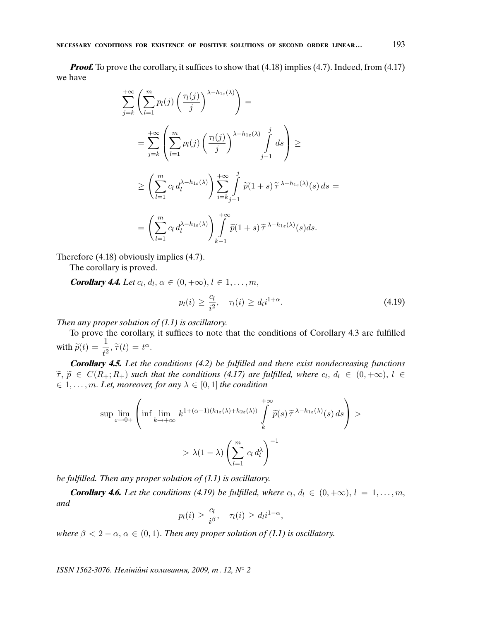*Proof.* To prove the corollary, it suffices to show that (4.18) implies (4.7). Indeed, from (4.17) we have

$$
\sum_{j=k}^{+\infty} \left( \sum_{l=1}^{m} p_l(j) \left( \frac{\tau_l(j)}{j} \right)^{\lambda - h_{1\varepsilon}(\lambda)} \right) =
$$
\n
$$
= \sum_{j=k}^{+\infty} \left( \sum_{l=1}^{m} p_l(j) \left( \frac{\tau_l(j)}{j} \right)^{\lambda - h_{1\varepsilon}(\lambda)} \int_{j-1}^{j} ds \right) \ge
$$
\n
$$
\ge \left( \sum_{l=1}^{m} c_l d_l^{\lambda - h_{1\varepsilon}(\lambda)} \right) \sum_{i=k}^{+\infty} \int_{j-1}^{j} \widetilde{p}(1+s) \widetilde{\tau}^{\lambda - h_{1\varepsilon}(\lambda)}(s) ds =
$$
\n
$$
= \left( \sum_{l=1}^{m} c_l d_l^{\lambda - h_{1\varepsilon}(\lambda)} \right) \int_{k-1}^{+\infty} \widetilde{p}(1+s) \widetilde{\tau}^{\lambda - h_{1\varepsilon}(\lambda)}(s) ds.
$$

Therefore (4.18) obviously implies (4.7).

The corollary is proved.

**Corollary 4.4.** Let  $c_l, d_l, \alpha \in (0, +\infty), l \in 1, \ldots, m$ ,

$$
p_l(i) \ge \frac{c_l}{i^2}, \quad \tau_l(i) \ge d_l i^{1+\alpha}.
$$
\n(4.19)

Then any proper solution of  $(1.1)$  is oscillatory.

To prove the corollary, it suffices to note that the conditions of Corollary 4.3 are fulfilled with  $\widetilde{p}(t) = \frac{1}{t^2}, \widetilde{\tau}(t) = t^{\alpha}$ .

**Corollary 4.5.** Let the conditions (4.2) be ful*fi*lled and there exist nondecreasing functions  $\widetilde{\tau}, \widetilde{p} \in C(R_+; R_+)$  such that the conditions (4.17) are fulfilled, where  $c_l, d_l \in (0, +\infty), l \in$  $\epsilon \in \{1, \ldots, m\}$ . Let, moreover, for any  $\lambda \in [0, 1]$  the condition

$$
\sup \lim_{\varepsilon \to 0+} \left( \inf \lim_{k \to +\infty} k^{1+(\alpha-1)(h_{1\varepsilon}(\lambda)+h_{2\varepsilon}(\lambda))} \int_{k}^{+\infty} \widetilde{p}(s) \, \widetilde{\tau}^{\lambda-h_{1\varepsilon}(\lambda)}(s) \, ds \right) > > \lambda (1-\lambda) \left( \sum_{l=1}^{m} c_l \, d_l^{\lambda} \right)^{-1}
$$

be ful*fi*lled. Then any proper solution of (1.1) is oscillatory.

**Corollary 4.6.** Let the conditions (4.19) be fulfilled, where  $c_l, d_l \in (0, +\infty), l = 1, \ldots, m$ , and

$$
p_l(i) \ge \frac{c_l}{i^{\beta}}, \quad \tau_l(i) \ge d_l i^{1-\alpha},
$$

where  $\beta < 2 - \alpha$ ,  $\alpha \in (0, 1)$ . Then any proper solution of (1.1) is oscillatory.